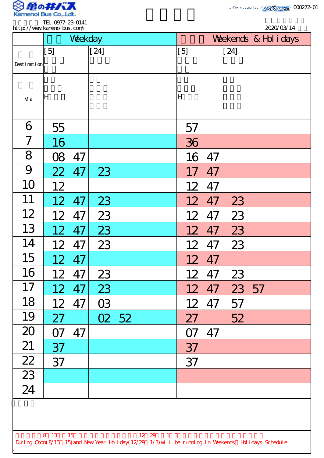

.

| http://www.kanenoi.bus.com/                                                                                                |                 |         |                       |       |  |                 |    |        |  |  | 2020/03/14 |  |
|----------------------------------------------------------------------------------------------------------------------------|-----------------|---------|-----------------------|-------|--|-----------------|----|--------|--|--|------------|--|
|                                                                                                                            |                 | Weekday | Weekends & Hol i days |       |  |                 |    |        |  |  |            |  |
|                                                                                                                            | [5]             |         | $[24]$                |       |  | [5]             |    | $[24]$ |  |  |            |  |
| Desti nati on                                                                                                              |                 |         |                       |       |  |                 |    |        |  |  |            |  |
|                                                                                                                            |                 |         |                       |       |  |                 |    |        |  |  |            |  |
| Vi a                                                                                                                       | ΙH              |         |                       |       |  | lΗ              |    |        |  |  |            |  |
|                                                                                                                            |                 |         |                       |       |  |                 |    |        |  |  |            |  |
| 6                                                                                                                          | 55              |         |                       |       |  | 57              |    |        |  |  |            |  |
| 7                                                                                                                          | 16              |         |                       |       |  | 36              |    |        |  |  |            |  |
| 8                                                                                                                          | 08              | 47      |                       |       |  | 16              | 47 |        |  |  |            |  |
| 9                                                                                                                          | 22              | 47      | 23                    |       |  | 17              | 47 |        |  |  |            |  |
| 10                                                                                                                         | 12              |         |                       |       |  | 12              | 47 |        |  |  |            |  |
| 11                                                                                                                         | 12              | 47      | 23                    |       |  | 12              | 47 | 23     |  |  |            |  |
| 12                                                                                                                         | 12              | 47      | 23                    |       |  | 12              | 47 | 23     |  |  |            |  |
| 13                                                                                                                         |                 | 12 47   | 23                    |       |  | 12 <sup>2</sup> | 47 | 23     |  |  |            |  |
| 14                                                                                                                         | 12 <sup>2</sup> | 47      | 23                    |       |  | 12              | 47 | 23     |  |  |            |  |
| 15                                                                                                                         | 12 <sup>2</sup> | 47      |                       |       |  | 12              | 47 |        |  |  |            |  |
| 16                                                                                                                         | 12              | 47      | 23                    |       |  | 12              | 47 | 23     |  |  |            |  |
| 17                                                                                                                         | 12              | 47      | 23                    |       |  | 12              | 47 | 23 57  |  |  |            |  |
| 18                                                                                                                         | 12              | 47      | 03                    |       |  | 12              | 47 | 57     |  |  |            |  |
| 19                                                                                                                         | 27              |         |                       | 02 52 |  | 27              |    | 52     |  |  |            |  |
| 20                                                                                                                         | <b>O7</b>       | 47      |                       |       |  | <b>O7</b>       | 47 |        |  |  |            |  |
| 21                                                                                                                         | 37              |         |                       |       |  | 37              |    |        |  |  |            |  |
| $\frac{22}{2}$                                                                                                             | 37              |         |                       |       |  | 37              |    |        |  |  |            |  |
| $\overline{23}$                                                                                                            |                 |         |                       |       |  |                 |    |        |  |  |            |  |
| 24                                                                                                                         |                 |         |                       |       |  |                 |    |        |  |  |            |  |
|                                                                                                                            |                 |         |                       |       |  |                 |    |        |  |  |            |  |
|                                                                                                                            |                 |         |                       |       |  |                 |    |        |  |  |            |  |
| 8 13 15<br>12 29 1 3<br>During Cbon(8/13 15) and New Year Holiday(12/29 1/3) will be running in Weekends Holidays Schedule |                 |         |                       |       |  |                 |    |        |  |  |            |  |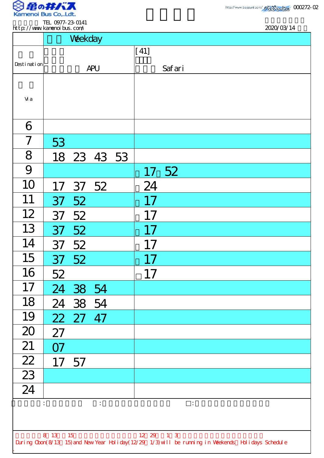

TEL 0977-23-0141 http://www.kamenoibus.com/

| http://www.kanenoi.bus.com/ |           |             |                      |  |        | 2020/03/14                                                                                         |  |  |
|-----------------------------|-----------|-------------|----------------------|--|--------|----------------------------------------------------------------------------------------------------|--|--|
|                             |           | Weekday     |                      |  |        |                                                                                                    |  |  |
|                             |           |             |                      |  | $[41]$ |                                                                                                    |  |  |
| Desti nati on               |           |             | <b>APU</b>           |  |        | Safari                                                                                             |  |  |
|                             |           |             |                      |  |        |                                                                                                    |  |  |
| Vi a                        |           |             |                      |  |        |                                                                                                    |  |  |
|                             |           |             |                      |  |        |                                                                                                    |  |  |
| 6                           |           |             |                      |  |        |                                                                                                    |  |  |
| $\overline{ }$              | 53        |             |                      |  |        |                                                                                                    |  |  |
| 8                           |           | 18 23 43 53 |                      |  |        |                                                                                                    |  |  |
| 9                           |           |             |                      |  |        | 17 52                                                                                              |  |  |
| 10                          | 17        |             | 37 52                |  | 24     |                                                                                                    |  |  |
| 11                          | 37        | 52          |                      |  | 17     |                                                                                                    |  |  |
| 12                          | 37        | 52          |                      |  | 17     |                                                                                                    |  |  |
| 13                          |           | 37 52       |                      |  | 17     |                                                                                                    |  |  |
| 14                          | 37        | 52          |                      |  | 17     |                                                                                                    |  |  |
| 15                          | 37        | 52          |                      |  | 17     |                                                                                                    |  |  |
| 16                          | 52        |             |                      |  | 17     |                                                                                                    |  |  |
| 17                          | 24        | 38 54       |                      |  |        |                                                                                                    |  |  |
| 18                          | 24        | 38 54       |                      |  |        |                                                                                                    |  |  |
| 19                          |           | 22 27 47    |                      |  |        |                                                                                                    |  |  |
| 20                          | 27        |             |                      |  |        |                                                                                                    |  |  |
| 21                          | <b>O7</b> |             |                      |  |        |                                                                                                    |  |  |
| $\overline{22}$             | 17        | 57          |                      |  |        |                                                                                                    |  |  |
| $\overline{23}$             |           |             |                      |  |        |                                                                                                    |  |  |
| 24                          |           |             |                      |  |        |                                                                                                    |  |  |
|                             |           |             | $\ddot{\ddot{\psi}}$ |  |        | $\ddot{\cdot}$                                                                                     |  |  |
|                             |           |             |                      |  |        |                                                                                                    |  |  |
| 8 13 15<br>$12 \t29 \t13$   |           |             |                      |  |        |                                                                                                    |  |  |
|                             |           |             |                      |  |        | During Cbon(8/13 15) and New Year Holiday(12/29 1/3) will be running in Weekends Holidays Schedule |  |  |